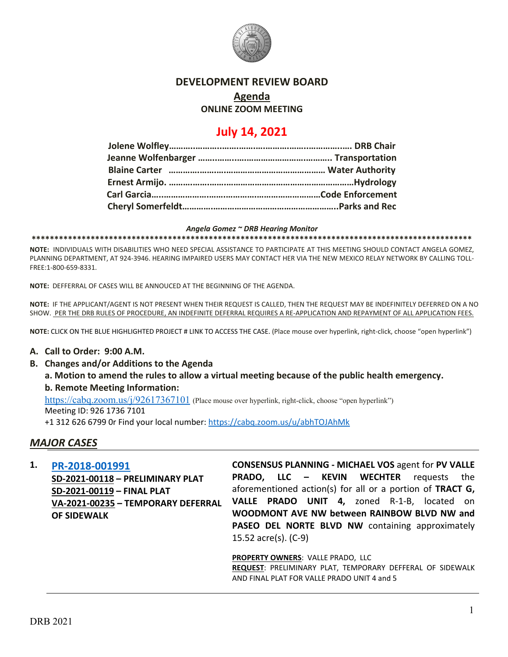

### **DEVELOPMENT REVIEW BOARD**

# **Agenda**

### **ONLINE ZOOM MEETING**

## **July 14, 2021**

#### *Angela Gomez ~ DRB Hearing Monitor*

**\*\*\*\*\*\*\*\*\*\*\*\*\*\*\*\*\*\*\*\*\*\*\*\*\*\*\*\*\*\*\*\*\*\*\*\*\*\*\*\*\*\*\*\*\*\*\*\*\*\*\*\*\*\*\*\*\*\*\*\*\*\*\*\*\*\*\*\*\*\*\*\*\*\*\*\*\*\*\*\*\*\*\*\*\*\*\*\*\*\*\*\*\*\*\*\*\***

**NOTE:** INDIVIDUALS WITH DISABILITIES WHO NEED SPECIAL ASSISTANCE TO PARTICIPATE AT THIS MEETING SHOULD CONTACT ANGELA GOMEZ, PLANNING DEPARTMENT, AT 924-3946. HEARING IMPAIRED USERS MAY CONTACT HER VIA THE NEW MEXICO RELAY NETWORK BY CALLING TOLL-FREE:1-800-659-8331.

**NOTE:** DEFFERRAL OF CASES WILL BE ANNOUCED AT THE BEGINNING OF THE AGENDA.

**NOTE:** IF THE APPLICANT/AGENT IS NOT PRESENT WHEN THEIR REQUEST IS CALLED, THEN THE REQUEST MAY BE INDEFINITELY DEFERRED ON A NO SHOW. PER THE DRB RULES OF PROCEDURE, AN INDEFINITE DEFERRAL REQUIRES A RE-APPLICATION AND REPAYMENT OF ALL APPLICATION FEES.

**NOTE:** CLICK ON THE BLUE HIGHLIGHTED PROJECT # LINK TO ACCESS THE CASE. (Place mouse over hyperlink, right-click, choose "open hyperlink")

### **A. Call to Order: 9:00 A.M.**

**B. Changes and/or Additions to the Agenda**

**a. Motion to amend the rules to allow a virtual meeting because of the public health emergency. b. Remote Meeting Information:** 

<https://cabq.zoom.us/j/92617367101> (Place mouse over hyperlink, right-click, choose "open hyperlink")

Meeting ID: 926 1736 7101

+1 312 626 6799 0r Find your local number:<https://cabq.zoom.us/u/abhTOJAhMk>

## *MAJOR CASES*

**1. [PR-2018-001991](http://data.cabq.gov/government/planning/DRB/PR-2019-001991/DRB%20Submittals/PR-2018-001991_July_14_2021%20(Valle%20Prado,%20unit%204)/Application/PR-2018-001991_Valle%20Prado%205_DRB%20Application.pdf)**

**SD-2021-00118 – PRELIMINARY PLAT SD-2021-00119 – FINAL PLAT VA-2021-00235 – TEMPORARY DEFERRAL OF SIDEWALK** 

**CONSENSUS PLANNING - MICHAEL VOS** agent for **PV VALLE PRADO, LLC – KEVIN WECHTER** requests the aforementioned action(s) for all or a portion of **TRACT G, VALLE PRADO UNIT 4,** zoned R-1-B, located on **WOODMONT AVE NW between RAINBOW BLVD NW and**  PASEO DEL NORTE BLVD NW containing approximately 15.52 acre(s). (C-9)

**PROPERTY OWNERS**: VALLE PRADO, LLC **REQUEST**: PRELIMINARY PLAT, TEMPORARY DEFFERAL OF SIDEWALK AND FINAL PLAT FOR VALLE PRADO UNIT 4 and 5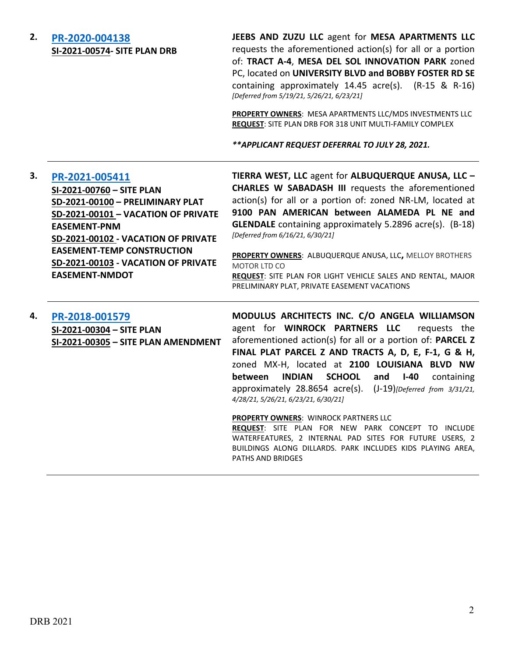## **2. [PR-2020-004138](http://data.cabq.gov/government/planning/DRB/PR-2020-004138/DRB%20Submittals/) SI-2021-00574- SITE PLAN DRB**

**JEEBS AND ZUZU LLC** agent for **MESA APARTMENTS LLC** requests the aforementioned action(s) for all or a portion of: **TRACT A-4**, **MESA DEL SOL INNOVATION PARK** zoned PC, located on **UNIVERSITY BLVD and BOBBY FOSTER RD SE** containing approximately 14.45 acre(s). (R-15 & R-16) *[Deferred from 5/19/21, 5/26/21, 6/23/21]*

**PROPERTY OWNERS**: MESA APARTMENTS LLC/MDS INVESTMENTS LLC **REQUEST**: SITE PLAN DRB FOR 318 UNIT MULTI-FAMILY COMPLEX

*\*\*APPLICANT REQUEST DEFERRAL TO JULY 28, 2021.*

| 3. | PR-2021-005411<br>SI-2021-00760 - SITE PLAN<br>SD-2021-00100 - PRELIMINARY PLAT<br>SD-2021-00101 - VACATION OF PRIVATE<br><b>EASEMENT-PNM</b><br>SD-2021-00102 - VACATION OF PRIVATE<br><b>EASEMENT-TEMP CONSTRUCTION</b><br>SD-2021-00103 - VACATION OF PRIVATE<br><b>EASEMENT-NMDOT</b> | TIERRA WEST, LLC agent for ALBUQUERQUE ANUSA, LLC -<br>CHARLES W SABADASH III requests the aforementioned<br>action(s) for all or a portion of: zoned NR-LM, located at<br>9100 PAN AMERICAN between ALAMEDA PL NE and<br><b>GLENDALE</b> containing approximately 5.2896 acre(s). (B-18)<br>[Deferred from 6/16/21, 6/30/21]<br>PROPERTY OWNERS: ALBUQUERQUE ANUSA, LLC, MELLOY BROTHERS<br><b>MOTOR LTD CO</b><br>REQUEST: SITE PLAN FOR LIGHT VEHICLE SALES AND RENTAL, MAJOR<br>PRELIMINARY PLAT, PRIVATE EASEMENT VACATIONS |
|----|-------------------------------------------------------------------------------------------------------------------------------------------------------------------------------------------------------------------------------------------------------------------------------------------|----------------------------------------------------------------------------------------------------------------------------------------------------------------------------------------------------------------------------------------------------------------------------------------------------------------------------------------------------------------------------------------------------------------------------------------------------------------------------------------------------------------------------------|
| 4. | PR-2018-001579<br>SI-2021-00304 - SITE PLAN<br>SI-2021-00305 - SITE PLAN AMENDMENT                                                                                                                                                                                                        | MODULUS ARCHITECTS INC. C/O ANGELA WILLIAMSON<br>agent for WINROCK PARTNERS LLC<br>requests the<br>aforementioned action(s) for all or a portion of: PARCEL Z<br>FINAL PLAT PARCEL Z AND TRACTS A, D, E, F-1, G & H,<br>zoned MX-H, located at 2100 LOUISIANA BLVD NW<br>INDIAN<br>SCHOOL and<br><b>between</b><br>I-40<br>containing<br>approximately 28.8654 acre(s). (J-19) [Deferred from 3/31/21,<br>4/28/21, 5/26/21, 6/23/21, 6/30/21]<br><b>PROPERTY OWNERS: WINROCK PARTNERS LLC</b>                                    |
|    |                                                                                                                                                                                                                                                                                           | REQUEST: SITE PLAN FOR NEW PARK CONCEPT TO INCLUDE<br>WATERFEATURES, 2 INTERNAL PAD SITES FOR FUTURE USERS, 2<br>BUILDINGS ALONG DILLARDS. PARK INCLUDES KIDS PLAYING AREA,<br><b>PATHS AND BRIDGES</b>                                                                                                                                                                                                                                                                                                                          |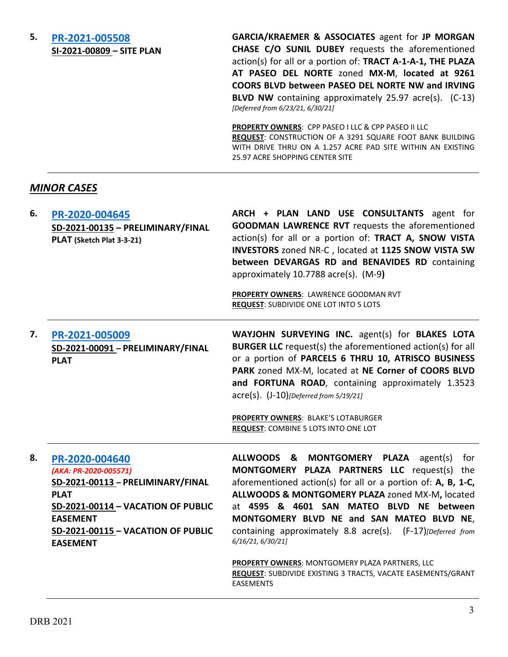## **5. [PR-2021-005508](http://data.cabq.gov/government/planning/DRB/PR-2021-005508/DRB%20Submittals/) SI-2021-00809 – SITE PLAN**

**GARCIA/KRAEMER & ASSOCIATES** agent for **JP MORGAN CHASE C/O SUNIL DUBEY** requests the aforementioned action(s) for all or a portion of: **TRACT A-1-A-1, THE PLAZA AT PASEO DEL NORTE** zoned **MX-M**, **located at 9261 COORS BLVD between PASEO DEL NORTE NW and IRVING BLVD NW** containing approximately 25.97 acre(s). (C-13) *[Deferred from 6/23/21, 6/30/21]*

**PROPERTY OWNERS**: CPP PASEO I LLC & CPP PASEO II LLC **REQUEST**: CONSTRUCTION OF A 3291 SQUARE FOOT BANK BUILDING WITH DRIVE THRU ON A 1.257 ACRE PAD SITE WITHIN AN EXISTING 25.97 ACRE SHOPPING CENTER SITE

## *MINOR CASES*

| 6. | PR-2020-004645<br>SD-2021-00135 - PRELIMINARY/FINAL<br>PLAT (Sketch Plat 3-3-21) | ARCH + PLAN LAND USE CONSULTANTS agent for<br><b>GOODMAN LAWRENCE RVT</b> requests the aforementioned<br>action(s) for all or a portion of: TRACT A, SNOW VISTA<br>INVESTORS zoned NR-C, located at 1125 SNOW VISTA SW<br>between DEVARGAS RD and BENAVIDES RD containing                                                                      |
|----|----------------------------------------------------------------------------------|------------------------------------------------------------------------------------------------------------------------------------------------------------------------------------------------------------------------------------------------------------------------------------------------------------------------------------------------|
|    |                                                                                  | approximately $10.7788$ acre(s). (M-9)<br><b>PROPERTY OWNERS: LAWRENCE GOODMAN RVT</b><br><b>REQUEST: SUBDIVIDE ONE LOT INTO 5 LOTS</b>                                                                                                                                                                                                        |
| 7. | PR-2021-005009<br>SD-2021-00091 - PRELIMINARY/FINAL<br><b>PLAT</b>               | WAYJOHN SURVEYING INC. agent(s) for BLAKES LOTA<br><b>BURGER LLC</b> request(s) the aforementioned action(s) for all<br>or a portion of PARCELS 6 THRU 10, ATRISCO BUSINESS<br>PARK zoned MX-M, located at NE Corner of COORS BLVD<br>and FORTUNA ROAD, containing approximately 1.3523<br>$\text{acre}(s)$ . $(J-10)$ [Deferred from 5/19/21] |
|    |                                                                                  | <b>PROPERTY OWNERS: BLAKE'S LOTABURGER</b><br>REQUEST: COMBINE 5 LOTS INTO ONE LOT                                                                                                                                                                                                                                                             |
| 8. | PR-2020-004640<br>(AKA: PR-2020-005571)                                          | ALLWOODS &<br><b>MONTGOMERY</b><br><b>PLAZA</b><br>for<br>agent(s)<br>MONTGOMERY PLAZA PARTNERS LLC request(s)<br>the                                                                                                                                                                                                                          |

**SD-2021-00113 – PRELIMINARY/FINAL PLAT SD-2021-00114 – VACATION OF PUBLIC EASEMENT SD-2021-00115 – VACATION OF PUBLIC EASEMENT**

**MONTGOMERY PLAZA PARTNERS LLC** request(s) the aforementioned action(s) for all or a portion of: **A, B, 1-C, ALLWOODS & MONTGOMERY PLAZA** zoned MX-M**,** located at **4595 & 4601 SAN MATEO BLVD NE between MONTGOMERY BLVD NE and SAN MATEO BLVD NE**, containing approximately 8.8 acre(s). (F-17)*[Deferred from 6/16/21, 6/30/21]*

**PROPERTY OWNERS**: MONTGOMERY PLAZA PARTNERS, LLC **REQUEST**: SUBDIVIDE EXISTING 3 TRACTS, VACATE EASEMENTS/GRANT EASEMENTS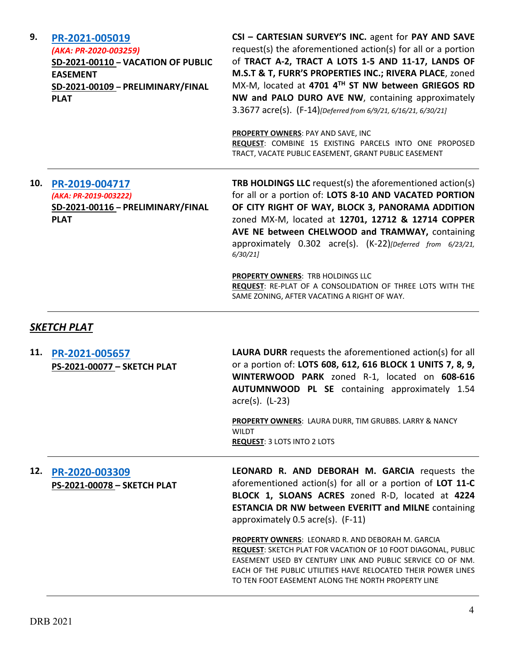| 9.                 | PR-2021-005019<br>(AKA: PR-2020-003259)<br>SD-2021-00110 - VACATION OF PUBLIC<br><b>EASEMENT</b><br>SD-2021-00109 - PRELIMINARY/FINAL<br><b>PLAT</b> | CSI - CARTESIAN SURVEY'S INC. agent for PAY AND SAVE<br>request(s) the aforementioned action(s) for all or a portion<br>of TRACT A-2, TRACT A LOTS 1-5 AND 11-17, LANDS OF<br>M.S.T & T, FURR'S PROPERTIES INC.; RIVERA PLACE, zoned<br>MX-M, located at 4701 4TH ST NW between GRIEGOS RD<br>NW and PALO DURO AVE NW, containing approximately<br>3.3677 acre(s). (F-14)[Deferred from 6/9/21, 6/16/21, 6/30/21]<br><b>PROPERTY OWNERS: PAY AND SAVE, INC</b><br>REQUEST: COMBINE 15 EXISTING PARCELS INTO ONE PROPOSED<br>TRACT, VACATE PUBLIC EASEMENT, GRANT PUBLIC EASEMENT |
|--------------------|------------------------------------------------------------------------------------------------------------------------------------------------------|----------------------------------------------------------------------------------------------------------------------------------------------------------------------------------------------------------------------------------------------------------------------------------------------------------------------------------------------------------------------------------------------------------------------------------------------------------------------------------------------------------------------------------------------------------------------------------|
| 10.                | PR-2019-004717<br>(AKA: PR-2019-003222)<br>SD-2021-00116 - PRELIMINARY/FINAL<br><b>PLAT</b>                                                          | <b>TRB HOLDINGS LLC</b> request(s) the aforementioned action(s)<br>for all or a portion of: LOTS 8-10 AND VACATED PORTION<br>OF CITY RIGHT OF WAY, BLOCK 3, PANORAMA ADDITION<br>zoned MX-M, located at 12701, 12712 & 12714 COPPER<br>AVE NE between CHELWOOD and TRAMWAY, containing<br>approximately 0.302 acre(s). (K-22)[Deferred from 6/23/21,<br>6/30/21                                                                                                                                                                                                                  |
|                    |                                                                                                                                                      | <b>PROPERTY OWNERS: TRB HOLDINGS LLC</b><br>REQUEST: RE-PLAT OF A CONSOLIDATION OF THREE LOTS WITH THE<br>SAME ZONING, AFTER VACATING A RIGHT OF WAY.                                                                                                                                                                                                                                                                                                                                                                                                                            |
| <b>SKETCH PLAT</b> |                                                                                                                                                      |                                                                                                                                                                                                                                                                                                                                                                                                                                                                                                                                                                                  |
| 11.                | PR-2021-005657<br>PS-2021-00077 - SKETCH PLAT                                                                                                        | <b>LAURA DURR</b> requests the aforementioned action(s) for all<br>or a portion of: LOTS 608, 612, 616 BLOCK 1 UNITS 7, 8, 9,<br>WINTERWOOD PARK zoned R-1, located on 608-616<br>AUTUMNWOOD PL SE containing approximately 1.54<br>acre(s). (L-23)                                                                                                                                                                                                                                                                                                                              |
|                    |                                                                                                                                                      | <b>PROPERTY OWNERS: LAURA DURR, TIM GRUBBS. LARRY &amp; NANCY</b><br><b>WILDT</b><br><b>REQUEST: 3 LOTS INTO 2 LOTS</b>                                                                                                                                                                                                                                                                                                                                                                                                                                                          |
| 12.                | PR-2020-003309<br>PS-2021-00078 - SKETCH PLAT                                                                                                        | LEONARD R. AND DEBORAH M. GARCIA requests the<br>aforementioned action(s) for all or a portion of LOT 11-C<br>BLOCK 1, SLOANS ACRES zoned R-D, located at 4224<br><b>ESTANCIA DR NW between EVERITT and MILNE containing</b><br>approximately $0.5$ acre(s). $(F-11)$                                                                                                                                                                                                                                                                                                            |
|                    |                                                                                                                                                      |                                                                                                                                                                                                                                                                                                                                                                                                                                                                                                                                                                                  |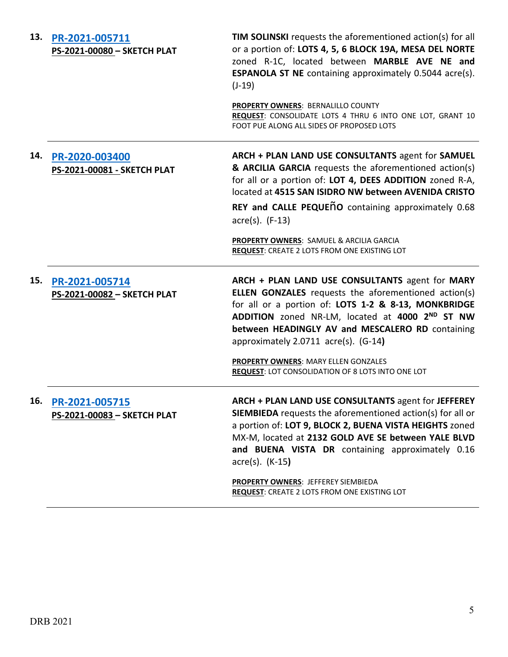| 13. | PR-2021-005711<br>PS-2021-00080 - SKETCH PLAT     | <b>TIM SOLINSKI</b> requests the aforementioned action(s) for all<br>or a portion of: LOTS 4, 5, 6 BLOCK 19A, MESA DEL NORTE<br>zoned R-1C, located between MARBLE AVE NE and<br><b>ESPANOLA ST NE</b> containing approximately 0.5044 acre(s).<br>$(J-19)$                                                                                                           |
|-----|---------------------------------------------------|-----------------------------------------------------------------------------------------------------------------------------------------------------------------------------------------------------------------------------------------------------------------------------------------------------------------------------------------------------------------------|
|     |                                                   | <b>PROPERTY OWNERS: BERNALILLO COUNTY</b><br>REQUEST: CONSOLIDATE LOTS 4 THRU 6 INTO ONE LOT, GRANT 10<br>FOOT PUE ALONG ALL SIDES OF PROPOSED LOTS                                                                                                                                                                                                                   |
| 14. | PR-2020-003400<br>PS-2021-00081 - SKETCH PLAT     | ARCH + PLAN LAND USE CONSULTANTS agent for SAMUEL<br>& ARCILIA GARCIA requests the aforementioned action(s)<br>for all or a portion of: LOT 4, DEES ADDITION zoned R-A,<br>located at 4515 SAN ISIDRO NW between AVENIDA CRISTO                                                                                                                                       |
|     |                                                   | REY and CALLE PEQUENO containing approximately 0.68<br>$\arccos(5)$ . (F-13)                                                                                                                                                                                                                                                                                          |
|     |                                                   | PROPERTY OWNERS: SAMUEL & ARCILIA GARCIA<br>REQUEST: CREATE 2 LOTS FROM ONE EXISTING LOT                                                                                                                                                                                                                                                                              |
| 15. | PR-2021-005714<br>PS-2021-00082 - SKETCH PLAT     | ARCH + PLAN LAND USE CONSULTANTS agent for MARY<br><b>ELLEN GONZALES</b> requests the aforementioned action(s)<br>for all or a portion of: LOTS 1-2 & 8-13, MONKBRIDGE<br>ADDITION zoned NR-LM, located at 4000 2ND ST NW<br>between HEADINGLY AV and MESCALERO RD containing<br>approximately $2.0711$ acre(s). (G-14)                                               |
|     |                                                   | <b>PROPERTY OWNERS: MARY ELLEN GONZALES</b><br><b>REQUEST: LOT CONSOLIDATION OF 8 LOTS INTO ONE LOT</b>                                                                                                                                                                                                                                                               |
|     | 16. PR-2021-005715<br>PS-2021-00083 - SKETCH PLAT | ARCH + PLAN LAND USE CONSULTANTS agent for JEFFEREY<br><b>SIEMBIEDA</b> requests the aforementioned action(s) for all or<br>a portion of: LOT 9, BLOCK 2, BUENA VISTA HEIGHTS zoned<br>MX-M, located at 2132 GOLD AVE SE between YALE BLVD<br>and BUENA VISTA DR containing approximately 0.16<br>$\arccos(5)$ . (K-15)<br><b>PROPERTY OWNERS: JEFFEREY SIEMBIEDA</b> |
|     |                                                   | <b>REQUEST: CREATE 2 LOTS FROM ONE EXISTING LOT</b>                                                                                                                                                                                                                                                                                                                   |